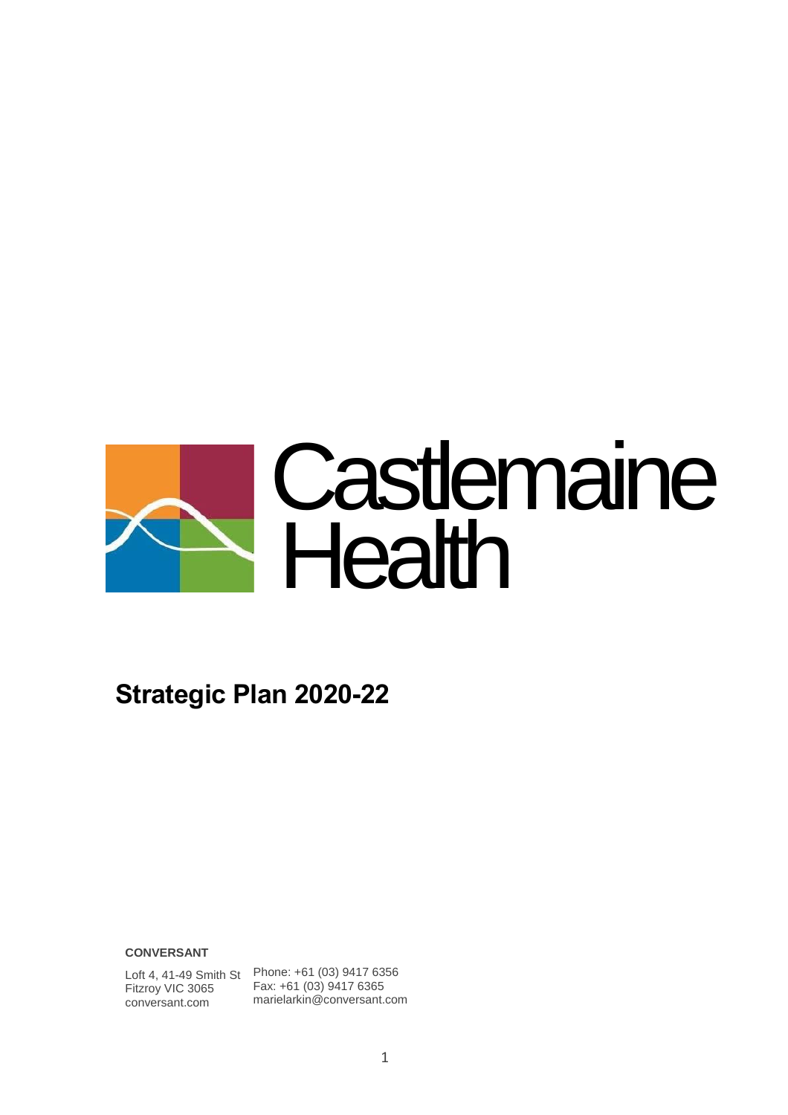

# **Strategic Plan 2020-22**

**CONVERSANT**

Fitzroy VIC 3065 conversant.com

Loft 4, 41-49 Smith St Phone: +61 (03) 9417 6356 Fax: +61 (03) 9417 6365 marielarkin@conversant.com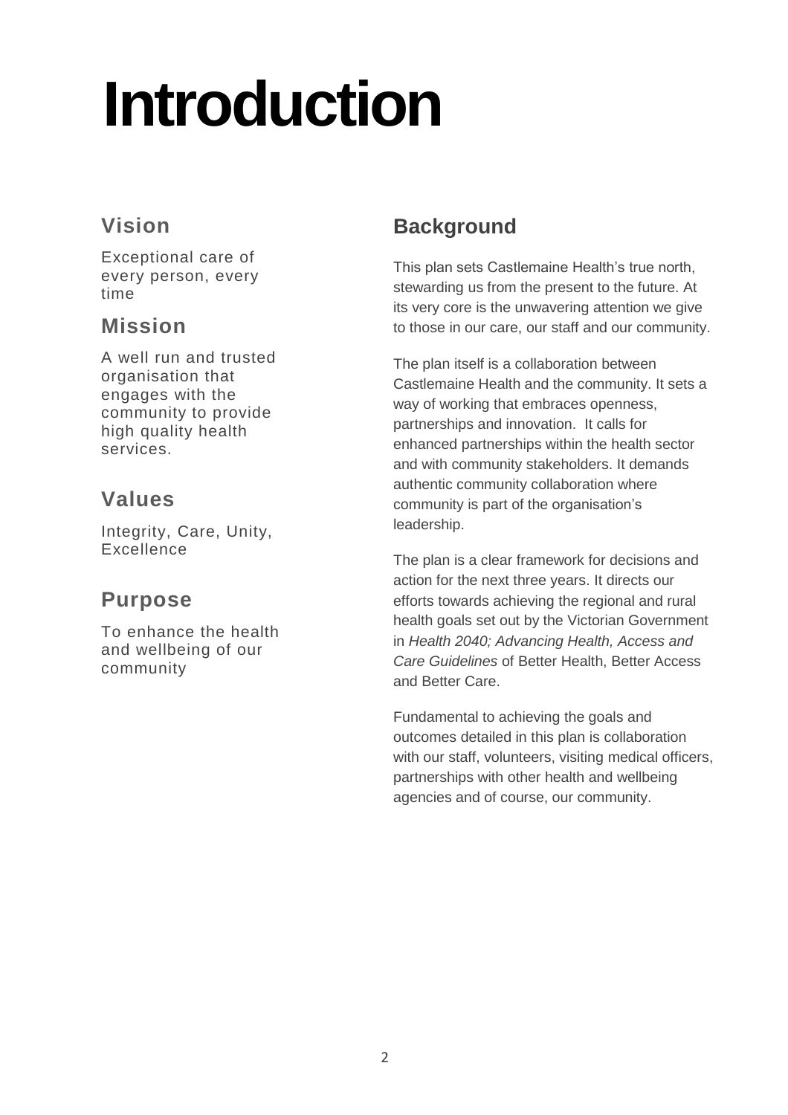# **Introduction**

### **Vision**

Exceptional care of every person, every time

#### **Mission**

A well run and trusted organisation that engages with the community to provide high quality health services.

### **Values**

Integrity, Care, Unity, Excellence

#### **Purpose**

To enhance the health and wellbeing of our community

## **Background**

This plan sets Castlemaine Health's true north, stewarding us from the present to the future. At its very core is the unwavering attention we give to those in our care, our staff and our community.

The plan itself is a collaboration between Castlemaine Health and the community. It sets a way of working that embraces openness, partnerships and innovation. It calls for enhanced partnerships within the health sector and with community stakeholders. It demands authentic community collaboration where community is part of the organisation's leadership.

The plan is a clear framework for decisions and action for the next three years. It directs our efforts towards achieving the regional and rural health goals set out by the Victorian Government in *Health 2040; Advancing Health, Access and Care Guidelines* of Better Health, Better Access and Better Care.

Fundamental to achieving the goals and outcomes detailed in this plan is collaboration with our staff, volunteers, visiting medical officers, partnerships with other health and wellbeing agencies and of course, our community.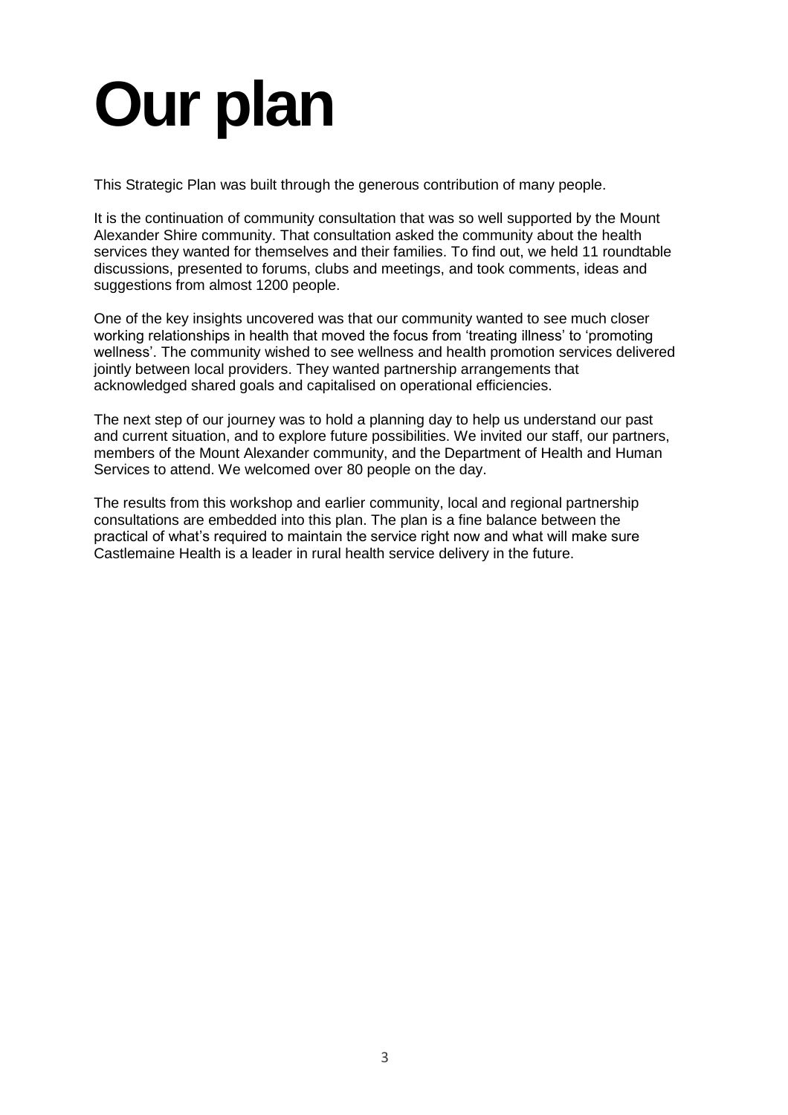# **Our plan**

This Strategic Plan was built through the generous contribution of many people.

It is the continuation of community consultation that was so well supported by the Mount Alexander Shire community. That consultation asked the community about the health services they wanted for themselves and their families. To find out, we held 11 roundtable discussions, presented to forums, clubs and meetings, and took comments, ideas and suggestions from almost 1200 people.

One of the key insights uncovered was that our community wanted to see much closer working relationships in health that moved the focus from 'treating illness' to 'promoting wellness'. The community wished to see wellness and health promotion services delivered jointly between local providers. They wanted partnership arrangements that acknowledged shared goals and capitalised on operational efficiencies.

The next step of our journey was to hold a planning day to help us understand our past and current situation, and to explore future possibilities. We invited our staff, our partners, members of the Mount Alexander community, and the Department of Health and Human Services to attend. We welcomed over 80 people on the day.

The results from this workshop and earlier community, local and regional partnership consultations are embedded into this plan. The plan is a fine balance between the practical of what's required to maintain the service right now and what will make sure Castlemaine Health is a leader in rural health service delivery in the future.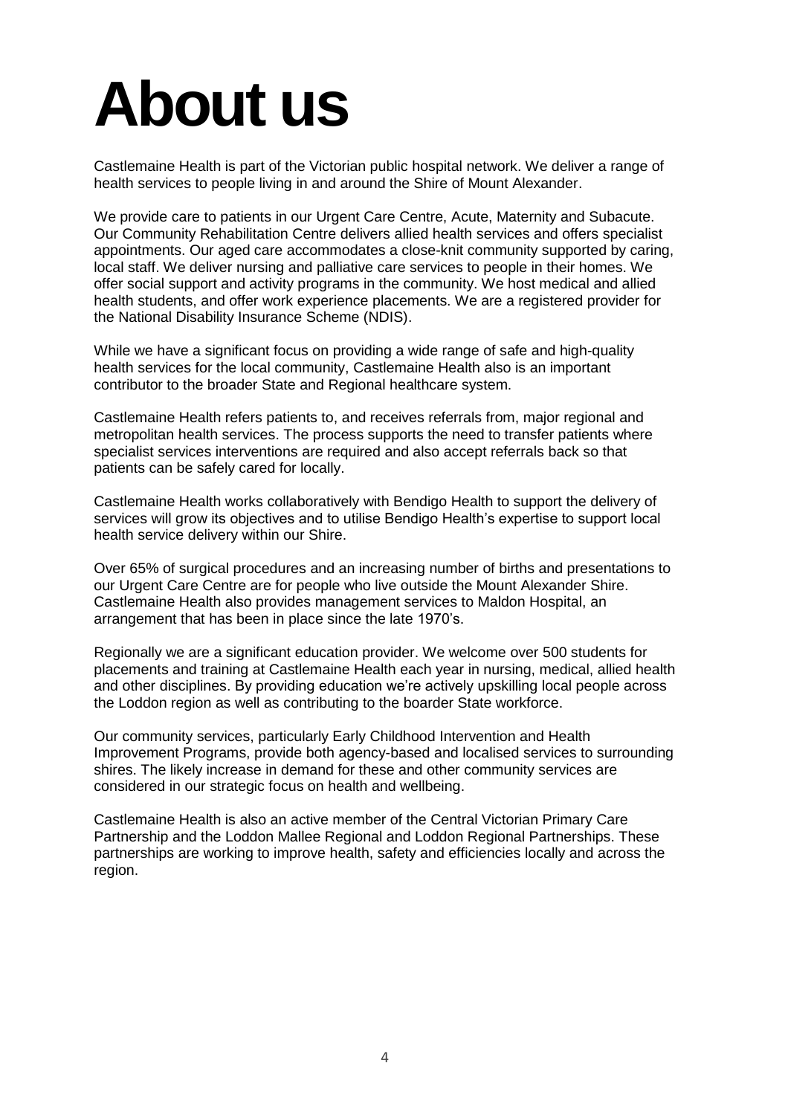# **About us**

Castlemaine Health is part of the Victorian public hospital network. We deliver a range of health services to people living in and around the Shire of Mount Alexander.

We provide care to patients in our Urgent Care Centre, Acute, Maternity and Subacute. Our Community Rehabilitation Centre delivers allied health services and offers specialist appointments. Our aged care accommodates a close-knit community supported by caring, local staff. We deliver nursing and palliative care services to people in their homes. We offer social support and activity programs in the community. We host medical and allied health students, and offer work experience placements. We are a registered provider for the National Disability Insurance Scheme (NDIS).

While we have a significant focus on providing a wide range of safe and high-quality health services for the local community, Castlemaine Health also is an important contributor to the broader State and Regional healthcare system.

Castlemaine Health refers patients to, and receives referrals from, major regional and metropolitan health services. The process supports the need to transfer patients where specialist services interventions are required and also accept referrals back so that patients can be safely cared for locally.

Castlemaine Health works collaboratively with Bendigo Health to support the delivery of services will grow its objectives and to utilise Bendigo Health's expertise to support local health service delivery within our Shire.

Over 65% of surgical procedures and an increasing number of births and presentations to our Urgent Care Centre are for people who live outside the Mount Alexander Shire. Castlemaine Health also provides management services to Maldon Hospital, an arrangement that has been in place since the late 1970's.

Regionally we are a significant education provider. We welcome over 500 students for placements and training at Castlemaine Health each year in nursing, medical, allied health and other disciplines. By providing education we're actively upskilling local people across the Loddon region as well as contributing to the boarder State workforce.

Our community services, particularly Early Childhood Intervention and Health Improvement Programs, provide both agency-based and localised services to surrounding shires. The likely increase in demand for these and other community services are considered in our strategic focus on health and wellbeing.

Castlemaine Health is also an active member of the Central Victorian Primary Care Partnership and the Loddon Mallee Regional and Loddon Regional Partnerships. These partnerships are working to improve health, safety and efficiencies locally and across the region.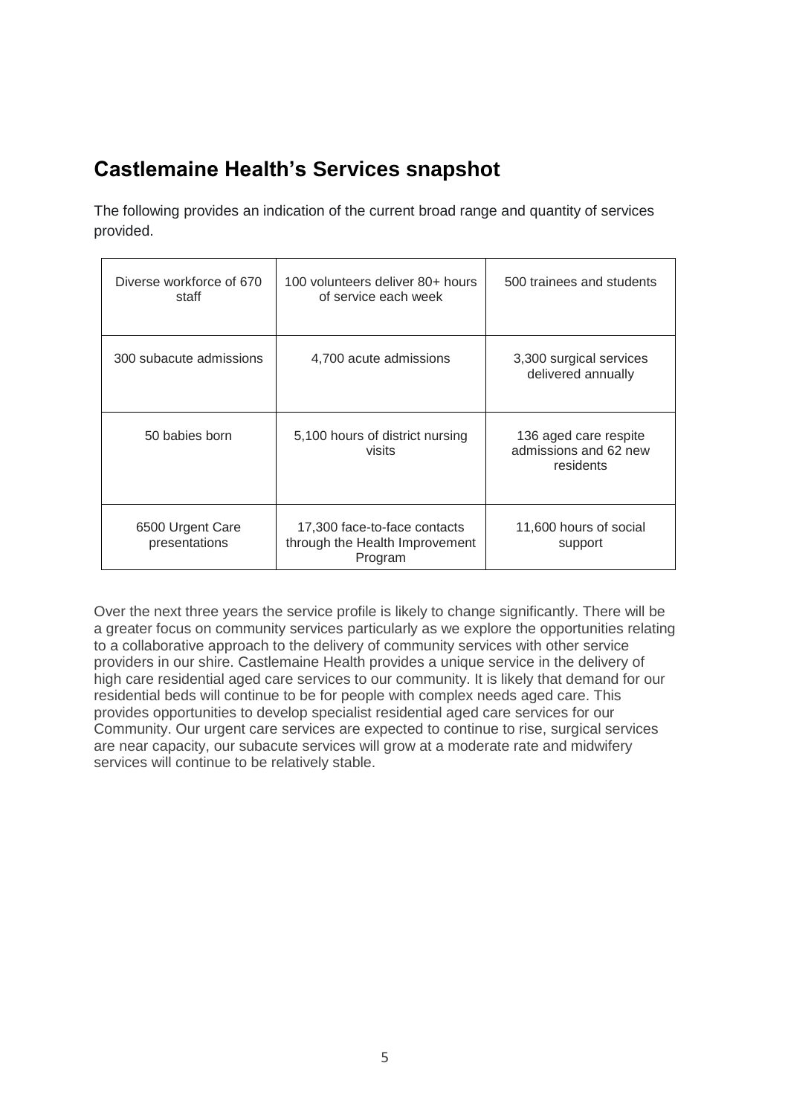### **Castlemaine Health's Services snapshot**

The following provides an indication of the current broad range and quantity of services provided.

| Diverse workforce of 670<br>staff | 100 volunteers deliver 80+ hours<br>of service each week                  | 500 trainees and students                                   |
|-----------------------------------|---------------------------------------------------------------------------|-------------------------------------------------------------|
| 300 subacute admissions           | 4,700 acute admissions                                                    | 3,300 surgical services<br>delivered annually               |
| 50 babies born                    | 5,100 hours of district nursing<br>visits                                 | 136 aged care respite<br>admissions and 62 new<br>residents |
| 6500 Urgent Care<br>presentations | 17,300 face-to-face contacts<br>through the Health Improvement<br>Program | 11,600 hours of social<br>support                           |

Over the next three years the service profile is likely to change significantly. There will be a greater focus on community services particularly as we explore the opportunities relating to a collaborative approach to the delivery of community services with other service providers in our shire. Castlemaine Health provides a unique service in the delivery of high care residential aged care services to our community. It is likely that demand for our residential beds will continue to be for people with complex needs aged care. This provides opportunities to develop specialist residential aged care services for our Community. Our urgent care services are expected to continue to rise, surgical services are near capacity, our subacute services will grow at a moderate rate and midwifery services will continue to be relatively stable.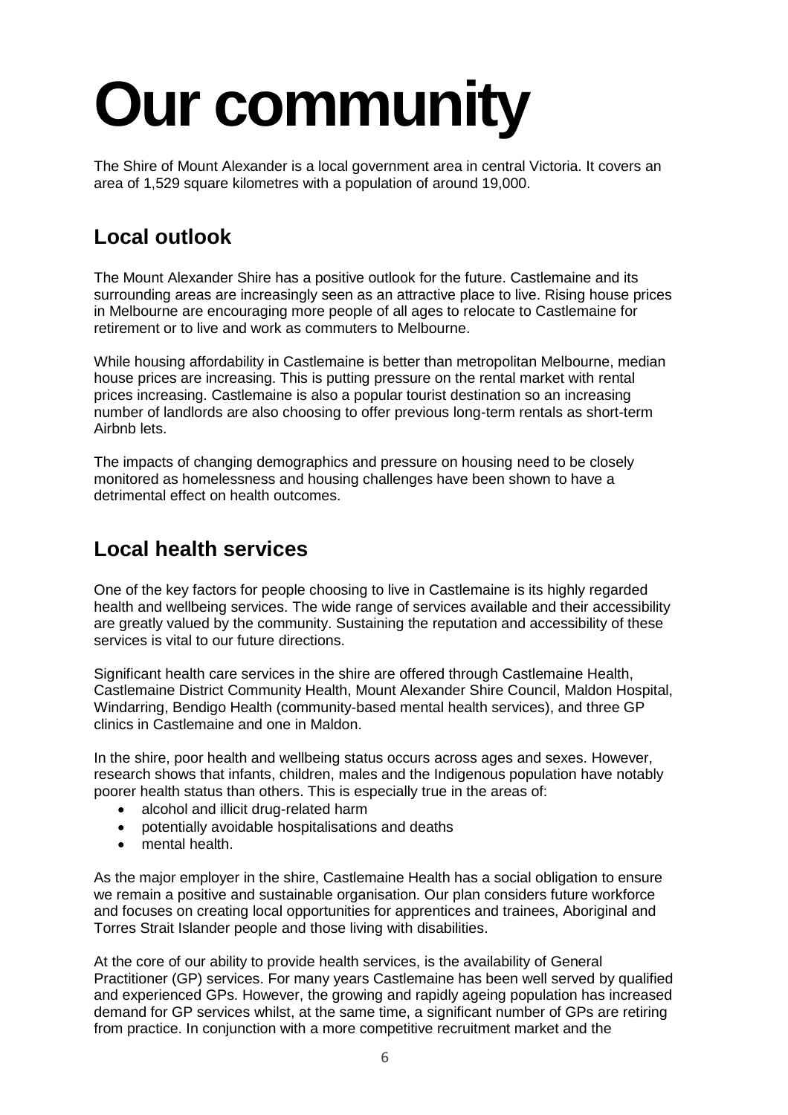# **Our community**

The Shire of Mount Alexander is a local government area in central Victoria. It covers an area of 1,529 square kilometres with a population of around 19,000.

### **Local outlook**

The Mount Alexander Shire has a positive outlook for the future. Castlemaine and its surrounding areas are increasingly seen as an attractive place to live. Rising house prices in Melbourne are encouraging more people of all ages to relocate to Castlemaine for retirement or to live and work as commuters to Melbourne.

While housing affordability in Castlemaine is better than metropolitan Melbourne, median house prices are increasing. This is putting pressure on the rental market with rental prices increasing. Castlemaine is also a popular tourist destination so an increasing number of landlords are also choosing to offer previous long-term rentals as short-term Airbnb lets.

The impacts of changing demographics and pressure on housing need to be closely monitored as homelessness and housing challenges have been shown to have a detrimental effect on health outcomes.

#### **Local health services**

One of the key factors for people choosing to live in Castlemaine is its highly regarded health and wellbeing services. The wide range of services available and their accessibility are greatly valued by the community. Sustaining the reputation and accessibility of these services is vital to our future directions.

Significant health care services in the shire are offered through Castlemaine Health, Castlemaine District Community Health, Mount Alexander Shire Council, Maldon Hospital, Windarring, Bendigo Health (community-based mental health services), and three GP clinics in Castlemaine and one in Maldon.

In the shire, poor health and wellbeing status occurs across ages and sexes. However, research shows that infants, children, males and the Indigenous population have notably poorer health status than others. This is especially true in the areas of:

- alcohol and illicit drug-related harm
- potentially avoidable hospitalisations and deaths
- mental health.

As the major employer in the shire, Castlemaine Health has a social obligation to ensure we remain a positive and sustainable organisation. Our plan considers future workforce and focuses on creating local opportunities for apprentices and trainees, Aboriginal and Torres Strait Islander people and those living with disabilities.

At the core of our ability to provide health services, is the availability of General Practitioner (GP) services. For many years Castlemaine has been well served by qualified and experienced GPs. However, the growing and rapidly ageing population has increased demand for GP services whilst, at the same time, a significant number of GPs are retiring from practice. In conjunction with a more competitive recruitment market and the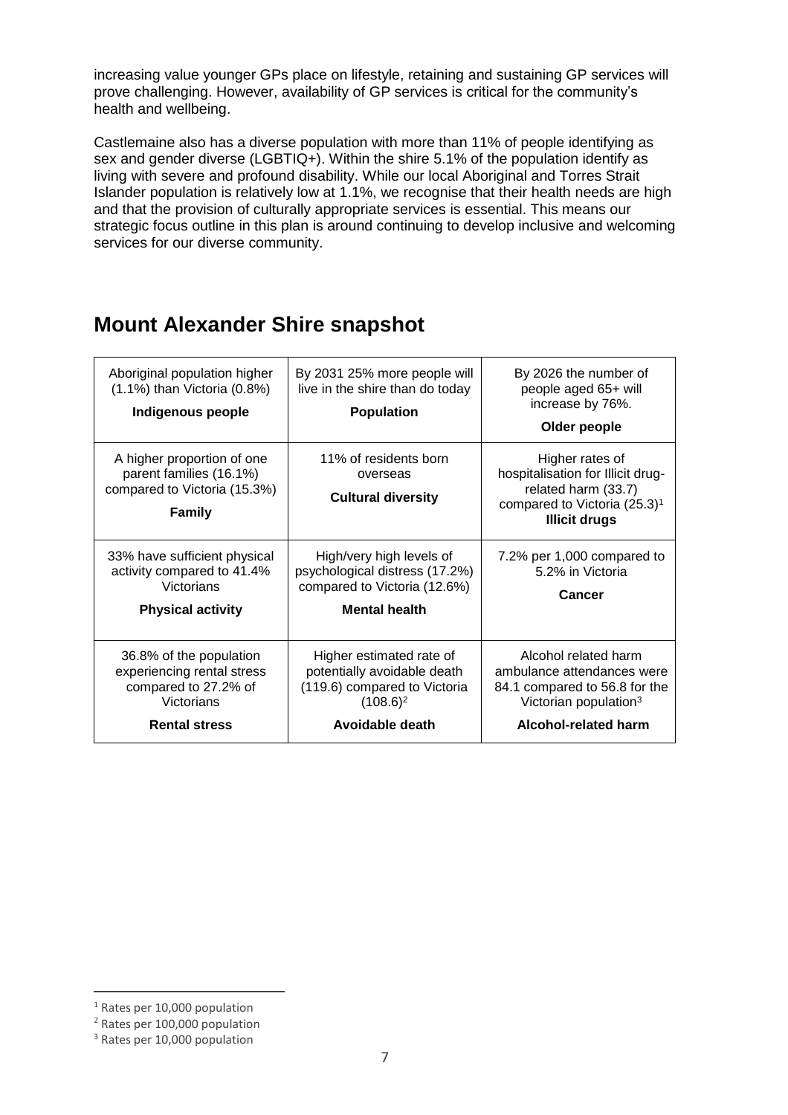increasing value younger GPs place on lifestyle, retaining and sustaining GP services will prove challenging. However, availability of GP services is critical for the community's health and wellbeing.

Castlemaine also has a diverse population with more than 11% of people identifying as sex and gender diverse (LGBTIQ+). Within the shire 5.1% of the population identify as living with severe and profound disability. While our local Aboriginal and Torres Strait Islander population is relatively low at 1.1%, we recognise that their health needs are high and that the provision of culturally appropriate services is essential. This means our strategic focus outline in this plan is around continuing to develop inclusive and welcoming services for our diverse community.

#### **Mount Alexander Shire snapshot**

| Aboriginal population higher<br>$(1.1\%)$ than Victoria $(0.8\%)$<br>Indigenous people                              | By 2031 25% more people will<br>live in the shire than do today<br><b>Population</b>                                      | By 2026 the number of<br>people aged 65+ will<br>increase by 76%.<br>Older people                                                                |
|---------------------------------------------------------------------------------------------------------------------|---------------------------------------------------------------------------------------------------------------------------|--------------------------------------------------------------------------------------------------------------------------------------------------|
| A higher proportion of one<br>parent families (16.1%)<br>compared to Victoria (15.3%)<br><b>Family</b>              | 11% of residents born<br>overseas<br><b>Cultural diversity</b>                                                            | Higher rates of<br>hospitalisation for Illicit drug-<br>related harm (33.7)<br>compared to Victoria (25.3) <sup>1</sup><br><b>Illicit drugs</b>  |
| 33% have sufficient physical<br>activity compared to 41.4%<br>Victorians<br><b>Physical activity</b>                | High/very high levels of<br>psychological distress (17.2%)<br>compared to Victoria (12.6%)<br><b>Mental health</b>        | 7.2% per 1,000 compared to<br>5.2% in Victoria<br>Cancer                                                                                         |
| 36.8% of the population<br>experiencing rental stress<br>compared to 27.2% of<br>Victorians<br><b>Rental stress</b> | Higher estimated rate of<br>potentially avoidable death<br>(119.6) compared to Victoria<br>$(108.6)^2$<br>Avoidable death | Alcohol related harm<br>ambulance attendances were<br>84.1 compared to 56.8 for the<br>Victorian population <sup>3</sup><br>Alcohol-related harm |

 $\overline{a}$ <sup>1</sup> Rates per 10,000 population

<sup>2</sup> Rates per 100,000 population

<sup>3</sup> Rates per 10,000 population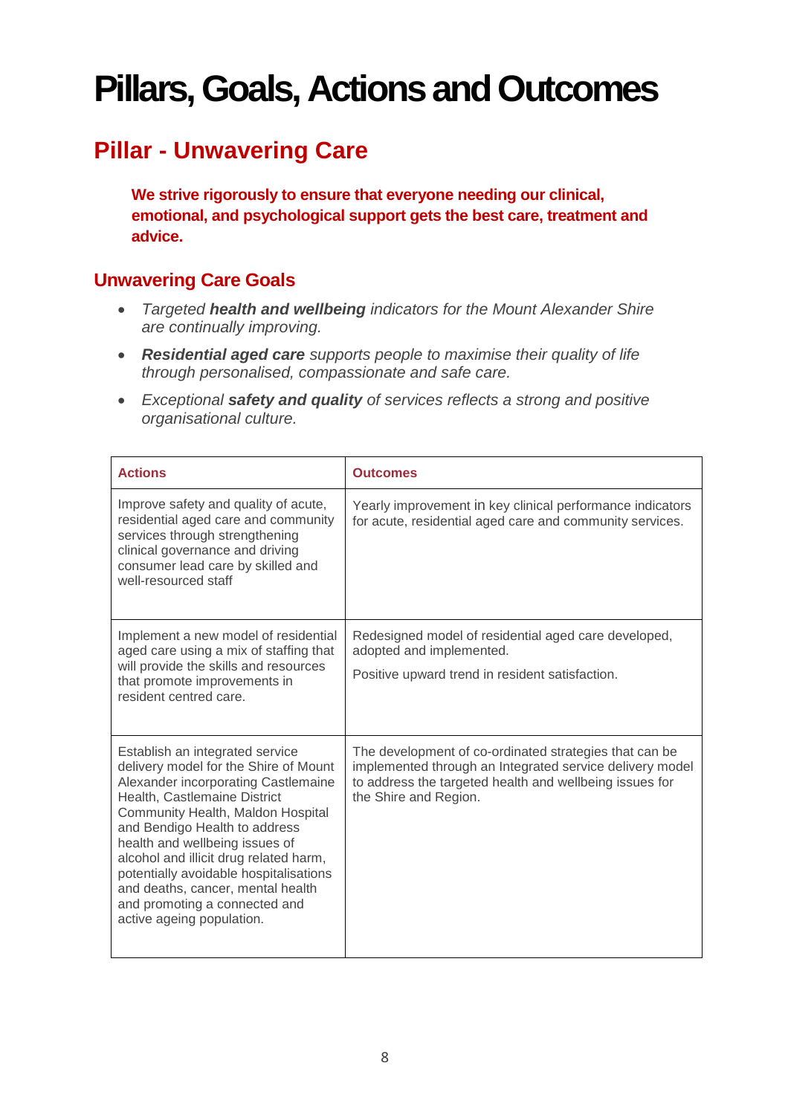# **Pillars, Goals, Actions and Outcomes**

# **Pillar - Unwavering Care**

**We strive rigorously to ensure that everyone needing our clinical, emotional, and psychological support gets the best care, treatment and advice.**

#### **Unwavering Care Goals**

- *Targeted health and wellbeing indicators for the Mount Alexander Shire are continually improving.*
- *Residential aged care supports people to maximise their quality of life through personalised, compassionate and safe care.*
- *Exceptional safety and quality of services reflects a strong and positive organisational culture.*

| <b>Actions</b>                                                                                                                                                                                                                                                                                                                                                                                                                                 | <b>Outcomes</b>                                                                                                                                                                                        |
|------------------------------------------------------------------------------------------------------------------------------------------------------------------------------------------------------------------------------------------------------------------------------------------------------------------------------------------------------------------------------------------------------------------------------------------------|--------------------------------------------------------------------------------------------------------------------------------------------------------------------------------------------------------|
| Improve safety and quality of acute,<br>residential aged care and community<br>services through strengthening<br>clinical governance and driving<br>consumer lead care by skilled and<br>well-resourced staff                                                                                                                                                                                                                                  | Yearly improvement in key clinical performance indicators<br>for acute, residential aged care and community services.                                                                                  |
| Implement a new model of residential<br>aged care using a mix of staffing that<br>will provide the skills and resources<br>that promote improvements in<br>resident centred care.                                                                                                                                                                                                                                                              | Redesigned model of residential aged care developed,<br>adopted and implemented.<br>Positive upward trend in resident satisfaction.                                                                    |
| Establish an integrated service<br>delivery model for the Shire of Mount<br>Alexander incorporating Castlemaine<br>Health, Castlemaine District<br>Community Health, Maldon Hospital<br>and Bendigo Health to address<br>health and wellbeing issues of<br>alcohol and illicit drug related harm,<br>potentially avoidable hospitalisations<br>and deaths, cancer, mental health<br>and promoting a connected and<br>active ageing population. | The development of co-ordinated strategies that can be<br>implemented through an Integrated service delivery model<br>to address the targeted health and wellbeing issues for<br>the Shire and Region. |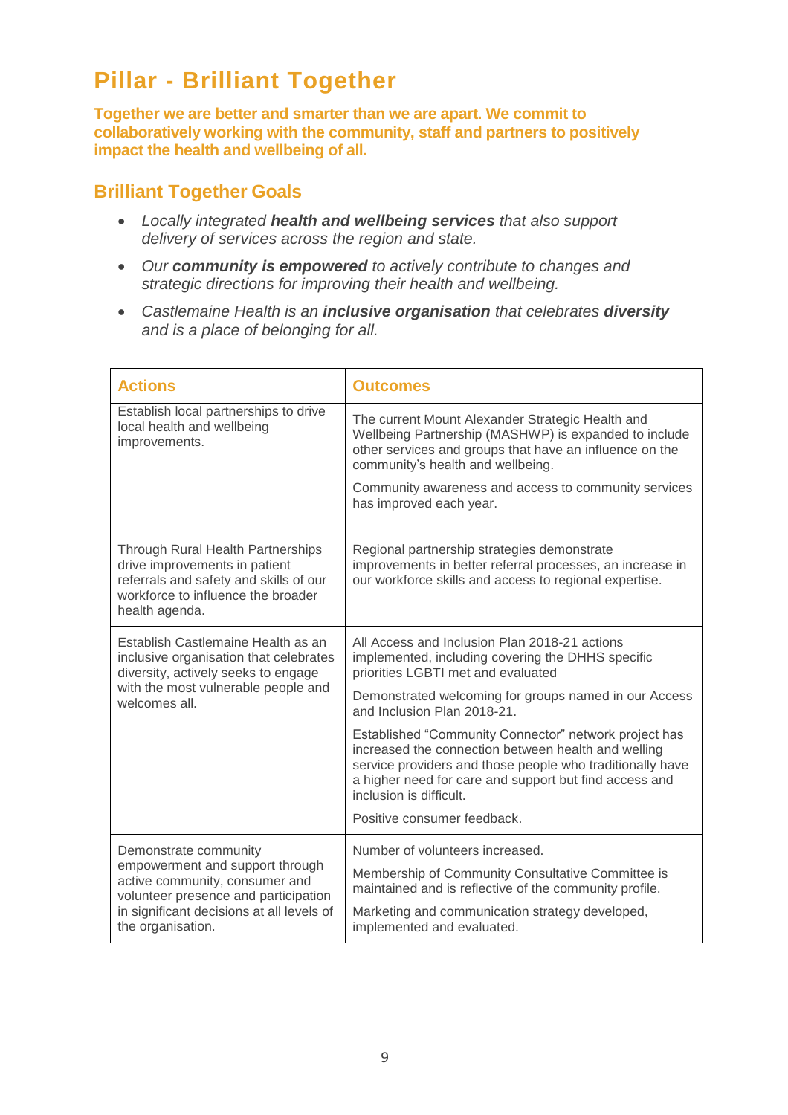# **Pillar - Brilliant Together**

**Together we are better and smarter than we are apart. We commit to collaboratively working with the community, staff and partners to positively impact the health and wellbeing of all.**

#### **Brilliant Together Goals**

- *Locally integrated health and wellbeing services that also support delivery of services across the region and state.*
- *Our community is empowered to actively contribute to changes and strategic directions for improving their health and wellbeing.*
- *Castlemaine Health is an inclusive organisation that celebrates diversity and is a place of belonging for all.*

| <b>Actions</b>                                                                                                                                                                                       | <b>Outcomes</b>                                                                                                                                                                                                                                                |
|------------------------------------------------------------------------------------------------------------------------------------------------------------------------------------------------------|----------------------------------------------------------------------------------------------------------------------------------------------------------------------------------------------------------------------------------------------------------------|
| Establish local partnerships to drive<br>local health and wellbeing<br>improvements.                                                                                                                 | The current Mount Alexander Strategic Health and<br>Wellbeing Partnership (MASHWP) is expanded to include<br>other services and groups that have an influence on the<br>community's health and wellbeing.                                                      |
|                                                                                                                                                                                                      | Community awareness and access to community services<br>has improved each year.                                                                                                                                                                                |
| <b>Through Rural Health Partnerships</b><br>drive improvements in patient<br>referrals and safety and skills of our<br>workforce to influence the broader<br>health agenda.                          | Regional partnership strategies demonstrate<br>improvements in better referral processes, an increase in<br>our workforce skills and access to regional expertise.                                                                                             |
| Establish Castlemaine Health as an<br>inclusive organisation that celebrates<br>diversity, actively seeks to engage<br>with the most vulnerable people and<br>welcomes all.                          | All Access and Inclusion Plan 2018-21 actions<br>implemented, including covering the DHHS specific<br>priorities LGBTI met and evaluated                                                                                                                       |
|                                                                                                                                                                                                      | Demonstrated welcoming for groups named in our Access<br>and Inclusion Plan 2018-21.                                                                                                                                                                           |
|                                                                                                                                                                                                      | Established "Community Connector" network project has<br>increased the connection between health and welling<br>service providers and those people who traditionally have<br>a higher need for care and support but find access and<br>inclusion is difficult. |
|                                                                                                                                                                                                      | Positive consumer feedback.                                                                                                                                                                                                                                    |
| Demonstrate community<br>empowerment and support through<br>active community, consumer and<br>volunteer presence and participation<br>in significant decisions at all levels of<br>the organisation. | Number of volunteers increased.                                                                                                                                                                                                                                |
|                                                                                                                                                                                                      | Membership of Community Consultative Committee is<br>maintained and is reflective of the community profile.                                                                                                                                                    |
|                                                                                                                                                                                                      | Marketing and communication strategy developed,<br>implemented and evaluated.                                                                                                                                                                                  |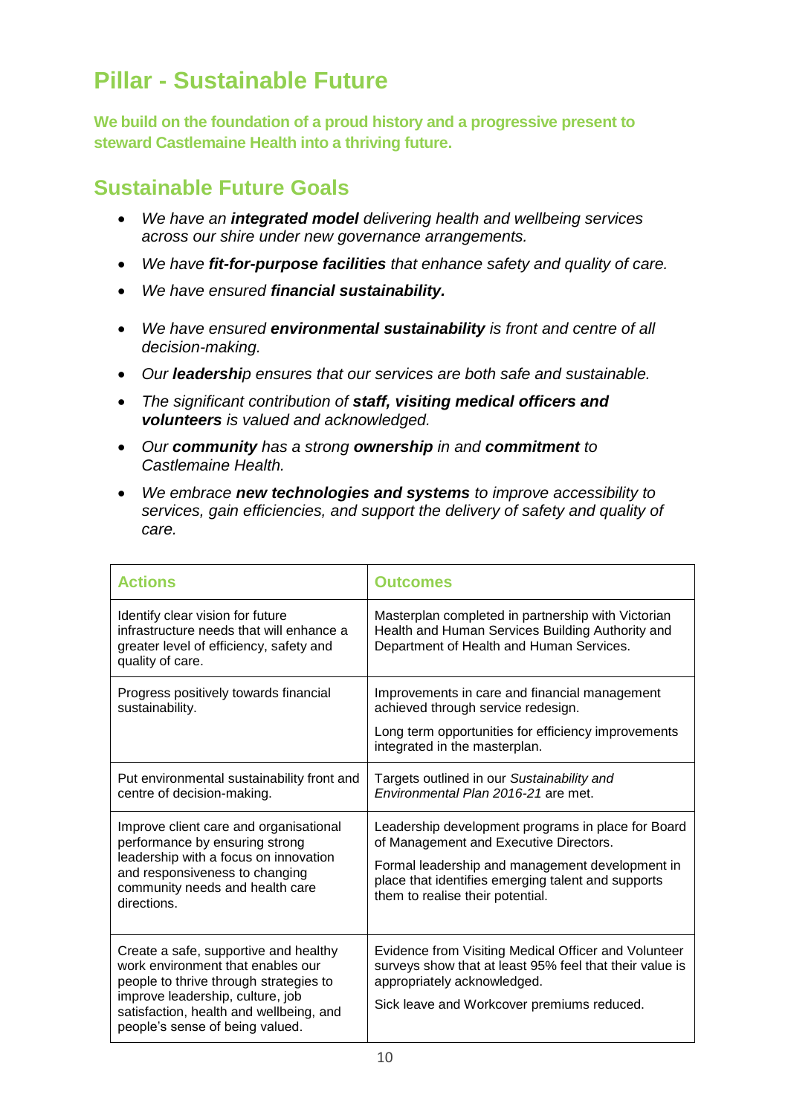# **Pillar - Sustainable Future**

**We build on the foundation of a proud history and a progressive present to steward Castlemaine Health into a thriving future.**

#### **Sustainable Future Goals**

- *We have an integrated model delivering health and wellbeing services across our shire under new governance arrangements.*
- *We have fit-for-purpose facilities that enhance safety and quality of care.*
- *We have ensured financial sustainability.*
- *We have ensured environmental sustainability is front and centre of all decision-making.*
- *Our leadership ensures that our services are both safe and sustainable.*
- *The significant contribution of staff, visiting medical officers and volunteers is valued and acknowledged.*
- *Our community has a strong ownership in and commitment to Castlemaine Health.*
- *We embrace new technologies and systems to improve accessibility to services, gain efficiencies, and support the delivery of safety and quality of care.*

| <b>Actions</b>                                                                                                                                                                                                                         | <b>Outcomes</b>                                                                                                                                                                                                                           |
|----------------------------------------------------------------------------------------------------------------------------------------------------------------------------------------------------------------------------------------|-------------------------------------------------------------------------------------------------------------------------------------------------------------------------------------------------------------------------------------------|
| Identify clear vision for future<br>infrastructure needs that will enhance a<br>greater level of efficiency, safety and<br>quality of care.                                                                                            | Masterplan completed in partnership with Victorian<br>Health and Human Services Building Authority and<br>Department of Health and Human Services.                                                                                        |
| Progress positively towards financial<br>sustainability.                                                                                                                                                                               | Improvements in care and financial management<br>achieved through service redesign.<br>Long term opportunities for efficiency improvements<br>integrated in the masterplan.                                                               |
| Put environmental sustainability front and<br>centre of decision-making.                                                                                                                                                               | Targets outlined in our Sustainability and<br>Environmental Plan 2016-21 are met.                                                                                                                                                         |
| Improve client care and organisational<br>performance by ensuring strong<br>leadership with a focus on innovation<br>and responsiveness to changing<br>community needs and health care<br>directions.                                  | Leadership development programs in place for Board<br>of Management and Executive Directors.<br>Formal leadership and management development in<br>place that identifies emerging talent and supports<br>them to realise their potential. |
| Create a safe, supportive and healthy<br>work environment that enables our<br>people to thrive through strategies to<br>improve leadership, culture, job<br>satisfaction, health and wellbeing, and<br>people's sense of being valued. | Evidence from Visiting Medical Officer and Volunteer<br>surveys show that at least 95% feel that their value is<br>appropriately acknowledged.<br>Sick leave and Workcover premiums reduced.                                              |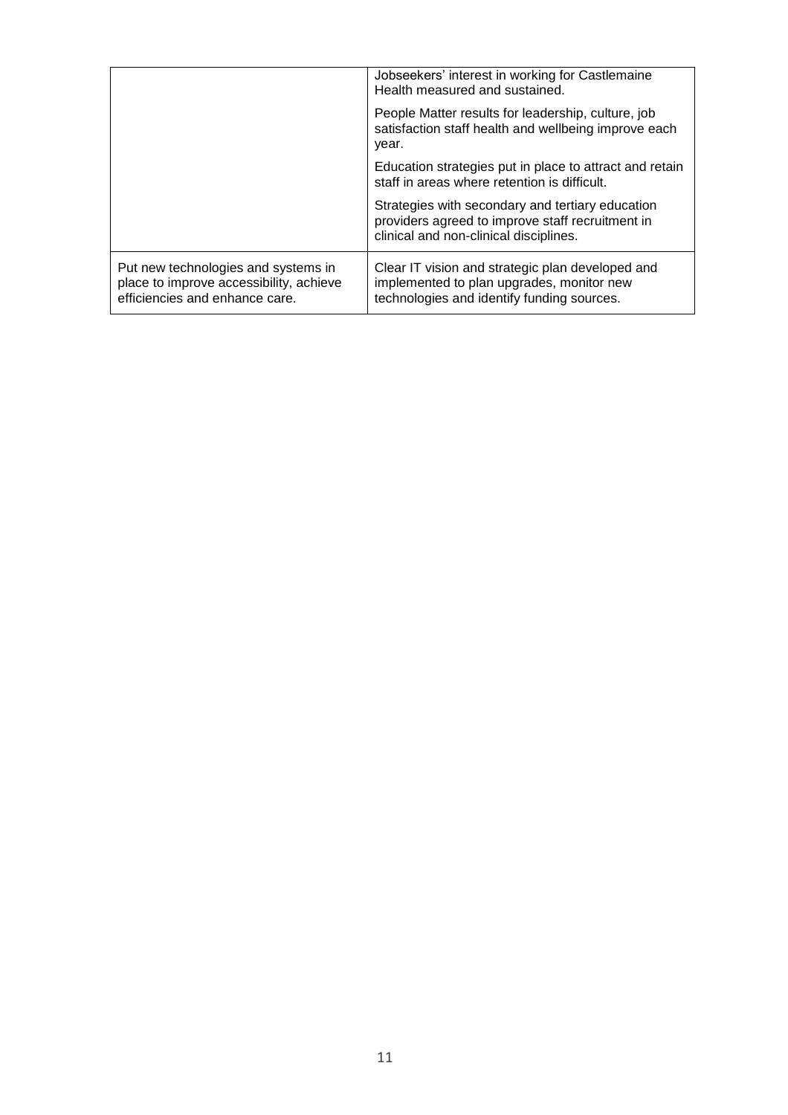|                                                                                                                  | Jobseekers' interest in working for Castlemaine<br>Health measured and sustained.<br>People Matter results for leadership, culture, job<br>satisfaction staff health and wellbeing improve each<br>year. |
|------------------------------------------------------------------------------------------------------------------|----------------------------------------------------------------------------------------------------------------------------------------------------------------------------------------------------------|
|                                                                                                                  | Education strategies put in place to attract and retain<br>staff in areas where retention is difficult.                                                                                                  |
|                                                                                                                  | Strategies with secondary and tertiary education<br>providers agreed to improve staff recruitment in<br>clinical and non-clinical disciplines.                                                           |
| Put new technologies and systems in<br>place to improve accessibility, achieve<br>efficiencies and enhance care. | Clear IT vision and strategic plan developed and<br>implemented to plan upgrades, monitor new<br>technologies and identify funding sources.                                                              |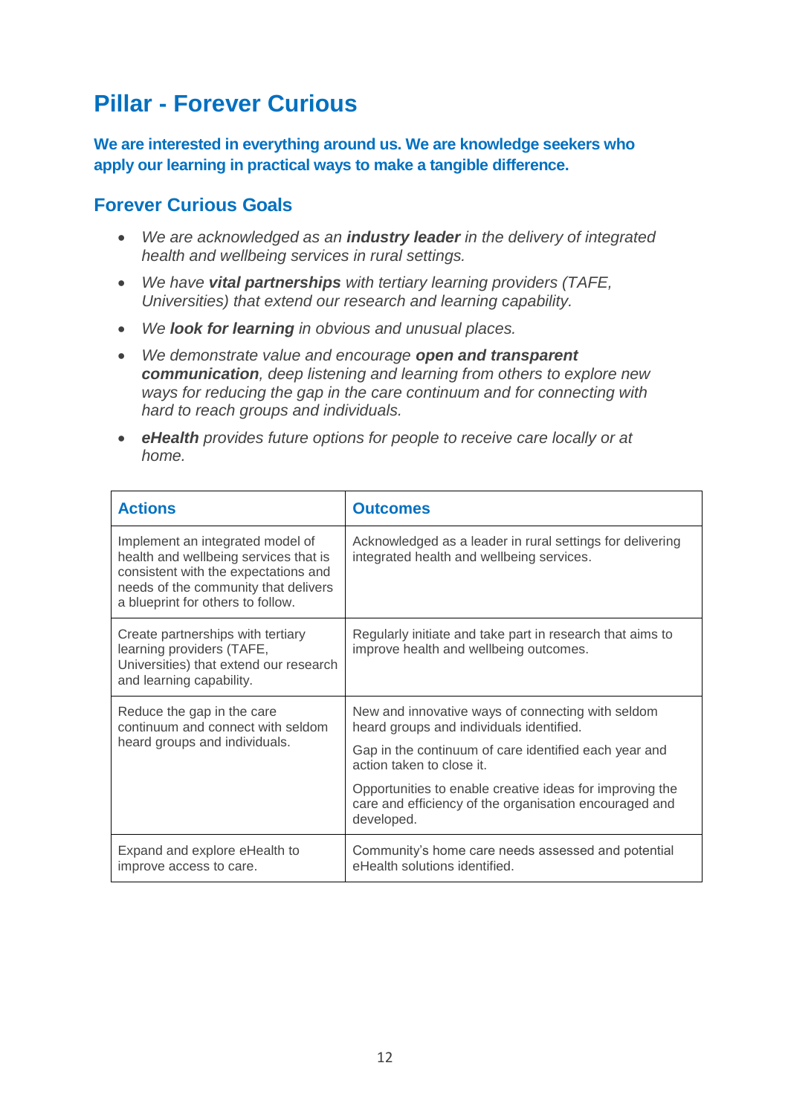## **Pillar - Forever Curious**

**We are interested in everything around us. We are knowledge seekers who apply our learning in practical ways to make a tangible difference.**

#### **Forever Curious Goals**

- *We are acknowledged as an industry leader in the delivery of integrated health and wellbeing services in rural settings.*
- *We have vital partnerships with tertiary learning providers (TAFE, Universities) that extend our research and learning capability.*
- *We look for learning in obvious and unusual places.*
- *We demonstrate value and encourage open and transparent communication, deep listening and learning from others to explore new ways for reducing the gap in the care continuum and for connecting with hard to reach groups and individuals.*
- *eHealth provides future options for people to receive care locally or at home.*

| <b>Actions</b>                                                                                                                                                                                 | <b>Outcomes</b>                                                                                                                  |
|------------------------------------------------------------------------------------------------------------------------------------------------------------------------------------------------|----------------------------------------------------------------------------------------------------------------------------------|
| Implement an integrated model of<br>health and wellbeing services that is<br>consistent with the expectations and<br>needs of the community that delivers<br>a blueprint for others to follow. | Acknowledged as a leader in rural settings for delivering<br>integrated health and wellbeing services.                           |
| Create partnerships with tertiary<br>learning providers (TAFE,<br>Universities) that extend our research<br>and learning capability.                                                           | Regularly initiate and take part in research that aims to<br>improve health and wellbeing outcomes.                              |
| Reduce the gap in the care<br>continuum and connect with seldom<br>heard groups and individuals.                                                                                               | New and innovative ways of connecting with seldom<br>heard groups and individuals identified.                                    |
|                                                                                                                                                                                                | Gap in the continuum of care identified each year and<br>action taken to close it.                                               |
|                                                                                                                                                                                                | Opportunities to enable creative ideas for improving the<br>care and efficiency of the organisation encouraged and<br>developed. |
| Expand and explore eHealth to<br>improve access to care.                                                                                                                                       | Community's home care needs assessed and potential<br>eHealth solutions identified.                                              |